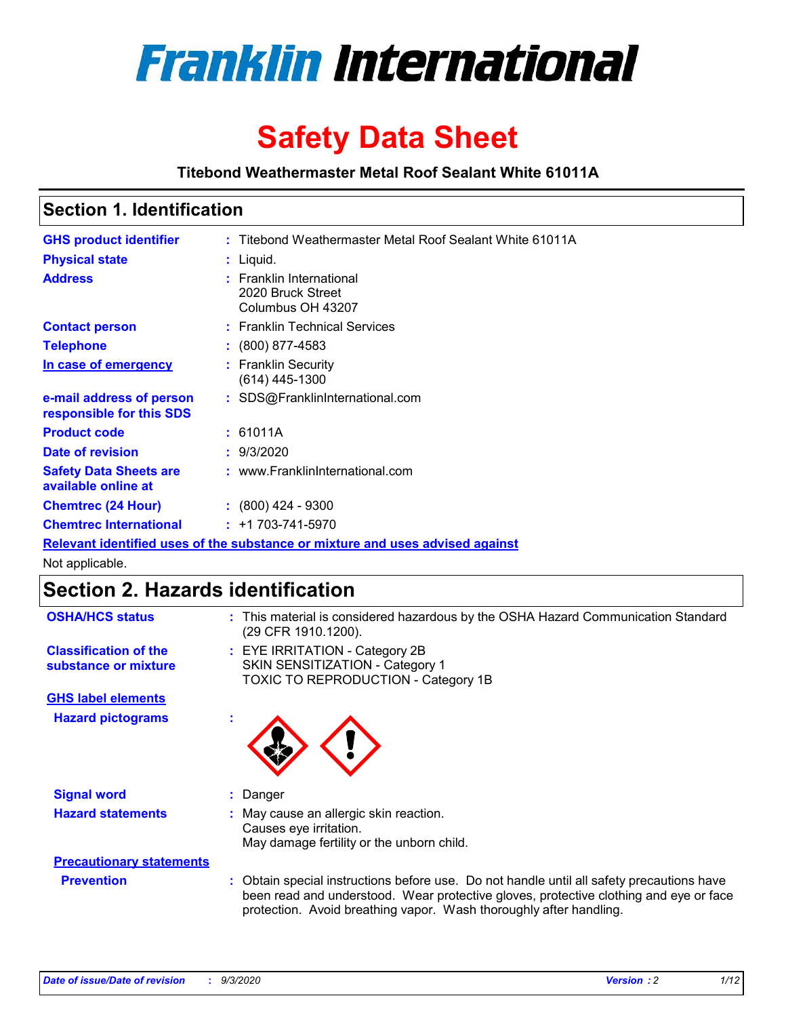

# **Safety Data Sheet**

**Titebond Weathermaster Metal Roof Sealant White 61011A**

## **Section 1. Identification**

| <b>GHS product identifier</b>                                                 |  | : Titebond Weathermaster Metal Roof Sealant White 61011A           |  |
|-------------------------------------------------------------------------------|--|--------------------------------------------------------------------|--|
| <b>Physical state</b>                                                         |  | : Liquid.                                                          |  |
| <b>Address</b>                                                                |  | : Franklin International<br>2020 Bruck Street<br>Columbus OH 43207 |  |
| <b>Contact person</b>                                                         |  | : Franklin Technical Services                                      |  |
| <b>Telephone</b>                                                              |  | $: (800) 877 - 4583$                                               |  |
| In case of emergency                                                          |  | : Franklin Security<br>(614) 445-1300                              |  |
| e-mail address of person<br>responsible for this SDS                          |  | : SDS@FranklinInternational.com                                    |  |
| <b>Product code</b>                                                           |  | : 61011A                                                           |  |
| Date of revision                                                              |  | : 9/3/2020                                                         |  |
| <b>Safety Data Sheets are</b><br>available online at                          |  | : www.FranklinInternational.com                                    |  |
| <b>Chemtrec (24 Hour)</b>                                                     |  | $\div$ (800) 424 - 9300                                            |  |
| <b>Chemtrec International</b>                                                 |  | $: +1703 - 741 - 5970$                                             |  |
| Relevant identified uses of the substance or mixture and uses advised against |  |                                                                    |  |

Not applicable.

# **Section 2. Hazards identification**

| <b>OSHA/HCS status</b>                               |    | : This material is considered hazardous by the OSHA Hazard Communication Standard<br>(29 CFR 1910.1200).                                                                                                                                                 |
|------------------------------------------------------|----|----------------------------------------------------------------------------------------------------------------------------------------------------------------------------------------------------------------------------------------------------------|
| <b>Classification of the</b><br>substance or mixture |    | : EYE IRRITATION - Category 2B<br>SKIN SENSITIZATION - Category 1<br>TOXIC TO REPRODUCTION - Category 1B                                                                                                                                                 |
| <b>GHS label elements</b>                            |    |                                                                                                                                                                                                                                                          |
| <b>Hazard pictograms</b>                             | ×. |                                                                                                                                                                                                                                                          |
| <b>Signal word</b>                                   | ÷. | Danger                                                                                                                                                                                                                                                   |
| <b>Hazard statements</b>                             |    | May cause an allergic skin reaction.<br>Causes eye irritation.<br>May damage fertility or the unborn child.                                                                                                                                              |
| <b>Precautionary statements</b>                      |    |                                                                                                                                                                                                                                                          |
| <b>Prevention</b>                                    |    | : Obtain special instructions before use. Do not handle until all safety precautions have<br>been read and understood. Wear protective gloves, protective clothing and eye or face<br>protection. Avoid breathing vapor. Wash thoroughly after handling. |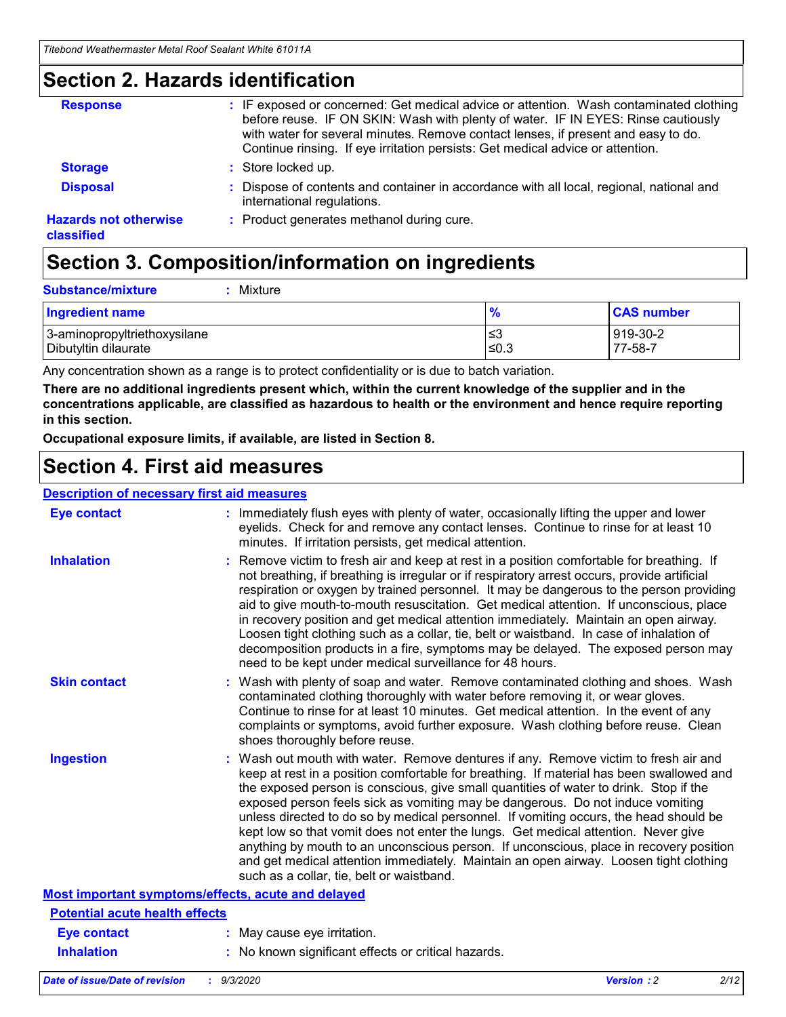## **Section 2. Hazards identification**

| <b>Response</b>                            | : IF exposed or concerned: Get medical advice or attention. Wash contaminated clothing<br>before reuse. IF ON SKIN: Wash with plenty of water. IF IN EYES: Rinse cautiously<br>with water for several minutes. Remove contact lenses, if present and easy to do.<br>Continue rinsing. If eye irritation persists: Get medical advice or attention. |
|--------------------------------------------|----------------------------------------------------------------------------------------------------------------------------------------------------------------------------------------------------------------------------------------------------------------------------------------------------------------------------------------------------|
| <b>Storage</b>                             | : Store locked up.                                                                                                                                                                                                                                                                                                                                 |
| <b>Disposal</b>                            | : Dispose of contents and container in accordance with all local, regional, national and<br>international regulations.                                                                                                                                                                                                                             |
| <b>Hazards not otherwise</b><br>classified | : Product generates methanol during cure.                                                                                                                                                                                                                                                                                                          |

# **Section 3. Composition/information on ingredients**

| <b>Substance/mixture</b> | Mixture |
|--------------------------|---------|
|                          |         |

| <b>Ingredient name</b>       | $\frac{9}{6}$ | <b>CAS number</b> |
|------------------------------|---------------|-------------------|
| 3-aminopropyltriethoxysilane | ≤3            | 919-30-2          |
| Dibutyltin dilaurate         | ∣≤0.3         | 77-58-7           |

Any concentration shown as a range is to protect confidentiality or is due to batch variation.

**There are no additional ingredients present which, within the current knowledge of the supplier and in the concentrations applicable, are classified as hazardous to health or the environment and hence require reporting in this section.**

**Occupational exposure limits, if available, are listed in Section 8.**

## **Section 4. First aid measures**

| <b>Description of necessary first aid measures</b> |                                                                                                                                                                                                                                                                                                                                                                                                                                                                                                                                                                                                                                                                                                                                                                           |
|----------------------------------------------------|---------------------------------------------------------------------------------------------------------------------------------------------------------------------------------------------------------------------------------------------------------------------------------------------------------------------------------------------------------------------------------------------------------------------------------------------------------------------------------------------------------------------------------------------------------------------------------------------------------------------------------------------------------------------------------------------------------------------------------------------------------------------------|
| <b>Eye contact</b>                                 | : Immediately flush eyes with plenty of water, occasionally lifting the upper and lower<br>eyelids. Check for and remove any contact lenses. Continue to rinse for at least 10<br>minutes. If irritation persists, get medical attention.                                                                                                                                                                                                                                                                                                                                                                                                                                                                                                                                 |
| <b>Inhalation</b>                                  | : Remove victim to fresh air and keep at rest in a position comfortable for breathing. If<br>not breathing, if breathing is irregular or if respiratory arrest occurs, provide artificial<br>respiration or oxygen by trained personnel. It may be dangerous to the person providing<br>aid to give mouth-to-mouth resuscitation. Get medical attention. If unconscious, place<br>in recovery position and get medical attention immediately. Maintain an open airway.<br>Loosen tight clothing such as a collar, tie, belt or waistband. In case of inhalation of<br>decomposition products in a fire, symptoms may be delayed. The exposed person may<br>need to be kept under medical surveillance for 48 hours.                                                       |
| <b>Skin contact</b>                                | : Wash with plenty of soap and water. Remove contaminated clothing and shoes. Wash<br>contaminated clothing thoroughly with water before removing it, or wear gloves.<br>Continue to rinse for at least 10 minutes. Get medical attention. In the event of any<br>complaints or symptoms, avoid further exposure. Wash clothing before reuse. Clean<br>shoes thoroughly before reuse.                                                                                                                                                                                                                                                                                                                                                                                     |
| <b>Ingestion</b>                                   | : Wash out mouth with water. Remove dentures if any. Remove victim to fresh air and<br>keep at rest in a position comfortable for breathing. If material has been swallowed and<br>the exposed person is conscious, give small quantities of water to drink. Stop if the<br>exposed person feels sick as vomiting may be dangerous. Do not induce vomiting<br>unless directed to do so by medical personnel. If vomiting occurs, the head should be<br>kept low so that vomit does not enter the lungs. Get medical attention. Never give<br>anything by mouth to an unconscious person. If unconscious, place in recovery position<br>and get medical attention immediately. Maintain an open airway. Loosen tight clothing<br>such as a collar, tie, belt or waistband. |
| Most important symptoms/effects, acute and delayed |                                                                                                                                                                                                                                                                                                                                                                                                                                                                                                                                                                                                                                                                                                                                                                           |
| <b>Potential acute health effects</b>              |                                                                                                                                                                                                                                                                                                                                                                                                                                                                                                                                                                                                                                                                                                                                                                           |
| <b>Eye contact</b>                                 | : May cause eye irritation.                                                                                                                                                                                                                                                                                                                                                                                                                                                                                                                                                                                                                                                                                                                                               |
| <b>Inhalation</b>                                  | : No known significant effects or critical hazards.                                                                                                                                                                                                                                                                                                                                                                                                                                                                                                                                                                                                                                                                                                                       |
|                                                    |                                                                                                                                                                                                                                                                                                                                                                                                                                                                                                                                                                                                                                                                                                                                                                           |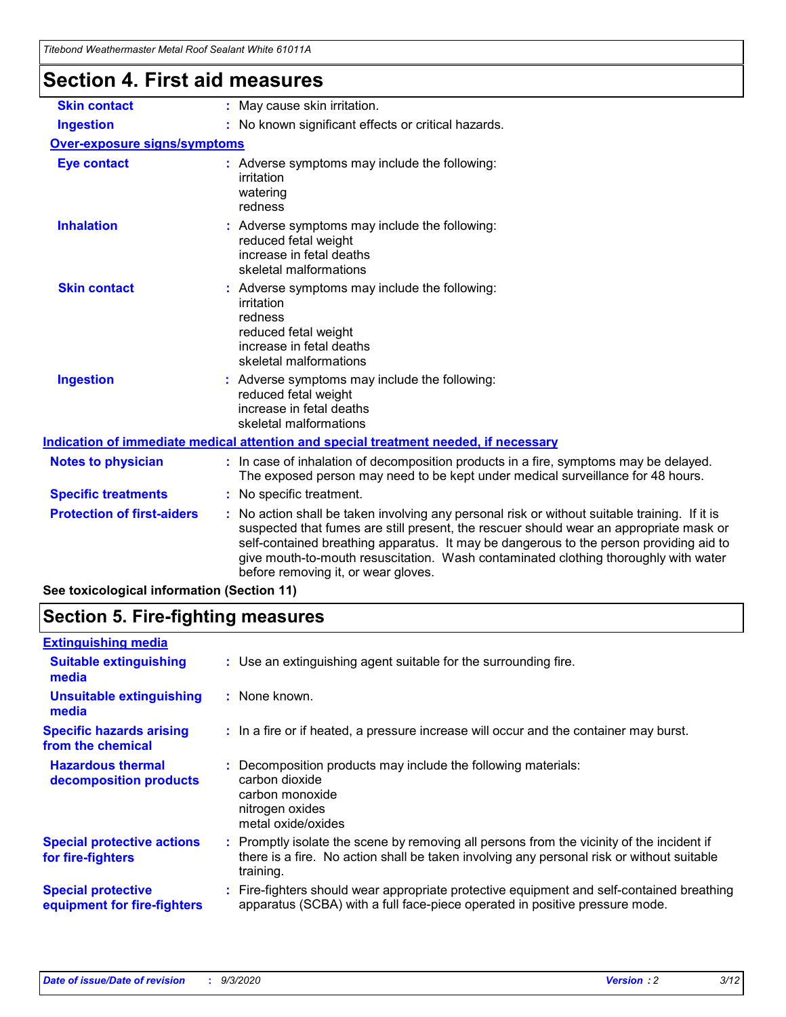| Tilebonu Wealtlennasier Melai Roof Sealahl While OTOTTA |                                                                                                                                                                                                                                                                                                                                                                                                                 |
|---------------------------------------------------------|-----------------------------------------------------------------------------------------------------------------------------------------------------------------------------------------------------------------------------------------------------------------------------------------------------------------------------------------------------------------------------------------------------------------|
| <b>Section 4. First aid measures</b>                    |                                                                                                                                                                                                                                                                                                                                                                                                                 |
| <b>Skin contact</b>                                     | : May cause skin irritation.                                                                                                                                                                                                                                                                                                                                                                                    |
| <b>Ingestion</b>                                        | : No known significant effects or critical hazards.                                                                                                                                                                                                                                                                                                                                                             |
| Over-exposure signs/symptoms                            |                                                                                                                                                                                                                                                                                                                                                                                                                 |
| <b>Eye contact</b>                                      | : Adverse symptoms may include the following:<br>irritation<br>watering<br>redness                                                                                                                                                                                                                                                                                                                              |
| <b>Inhalation</b>                                       | : Adverse symptoms may include the following:<br>reduced fetal weight<br>increase in fetal deaths<br>skeletal malformations                                                                                                                                                                                                                                                                                     |
| <b>Skin contact</b>                                     | : Adverse symptoms may include the following:<br>irritation<br>redness<br>reduced fetal weight<br>increase in fetal deaths<br>skeletal malformations                                                                                                                                                                                                                                                            |
| <b>Ingestion</b>                                        | : Adverse symptoms may include the following:<br>reduced fetal weight<br>increase in fetal deaths<br>skeletal malformations                                                                                                                                                                                                                                                                                     |
|                                                         | Indication of immediate medical attention and special treatment needed, if necessary                                                                                                                                                                                                                                                                                                                            |
| <b>Notes to physician</b>                               | : In case of inhalation of decomposition products in a fire, symptoms may be delayed.<br>The exposed person may need to be kept under medical surveillance for 48 hours.                                                                                                                                                                                                                                        |
| <b>Specific treatments</b>                              | : No specific treatment.                                                                                                                                                                                                                                                                                                                                                                                        |
| <b>Protection of first-aiders</b>                       | : No action shall be taken involving any personal risk or without suitable training. If it is<br>suspected that fumes are still present, the rescuer should wear an appropriate mask or<br>self-contained breathing apparatus. It may be dangerous to the person providing aid to<br>give mouth-to-mouth resuscitation. Wash contaminated clothing thoroughly with water<br>before removing it, or wear gloves. |
| See toxicological information (Section 11)              |                                                                                                                                                                                                                                                                                                                                                                                                                 |

# **Section 5. Fire-fighting measures**

| : Use an extinguishing agent suitable for the surrounding fire.                                                                                                                                   |
|---------------------------------------------------------------------------------------------------------------------------------------------------------------------------------------------------|
| : None known.                                                                                                                                                                                     |
| : In a fire or if heated, a pressure increase will occur and the container may burst.                                                                                                             |
| Decomposition products may include the following materials:<br>carbon dioxide<br>carbon monoxide<br>nitrogen oxides<br>metal oxide/oxides                                                         |
| Promptly isolate the scene by removing all persons from the vicinity of the incident if<br>there is a fire. No action shall be taken involving any personal risk or without suitable<br>training. |
| : Fire-fighters should wear appropriate protective equipment and self-contained breathing<br>apparatus (SCBA) with a full face-piece operated in positive pressure mode.                          |
|                                                                                                                                                                                                   |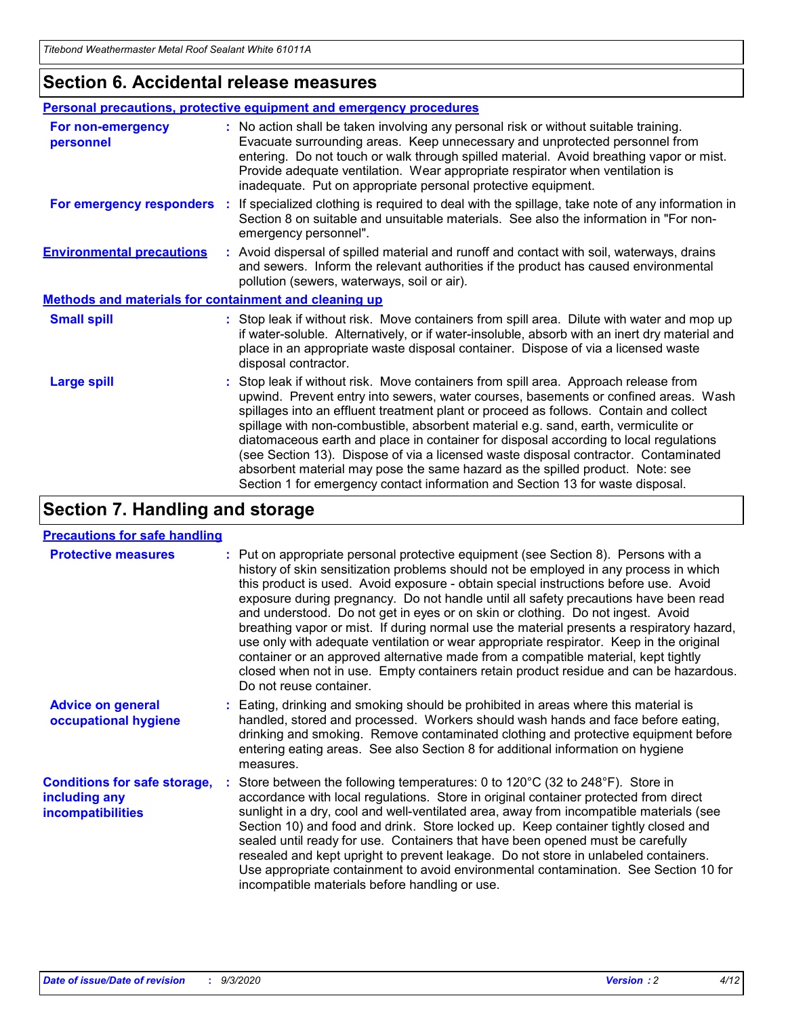## **Section 6. Accidental release measures**

|                                                              | <b>Personal precautions, protective equipment and emergency procedures</b>                                                                                                                                                                                                                                                                                                                                                                                                                                                                                                                                                                                                                                   |  |  |  |
|--------------------------------------------------------------|--------------------------------------------------------------------------------------------------------------------------------------------------------------------------------------------------------------------------------------------------------------------------------------------------------------------------------------------------------------------------------------------------------------------------------------------------------------------------------------------------------------------------------------------------------------------------------------------------------------------------------------------------------------------------------------------------------------|--|--|--|
| For non-emergency<br>personnel                               | : No action shall be taken involving any personal risk or without suitable training.<br>Evacuate surrounding areas. Keep unnecessary and unprotected personnel from<br>entering. Do not touch or walk through spilled material. Avoid breathing vapor or mist.<br>Provide adequate ventilation. Wear appropriate respirator when ventilation is<br>inadequate. Put on appropriate personal protective equipment.                                                                                                                                                                                                                                                                                             |  |  |  |
| For emergency responders                                     | : If specialized clothing is required to deal with the spillage, take note of any information in<br>Section 8 on suitable and unsuitable materials. See also the information in "For non-<br>emergency personnel".                                                                                                                                                                                                                                                                                                                                                                                                                                                                                           |  |  |  |
| <b>Environmental precautions</b>                             | : Avoid dispersal of spilled material and runoff and contact with soil, waterways, drains<br>and sewers. Inform the relevant authorities if the product has caused environmental<br>pollution (sewers, waterways, soil or air).                                                                                                                                                                                                                                                                                                                                                                                                                                                                              |  |  |  |
| <b>Methods and materials for containment and cleaning up</b> |                                                                                                                                                                                                                                                                                                                                                                                                                                                                                                                                                                                                                                                                                                              |  |  |  |
| <b>Small spill</b>                                           | : Stop leak if without risk. Move containers from spill area. Dilute with water and mop up<br>if water-soluble. Alternatively, or if water-insoluble, absorb with an inert dry material and<br>place in an appropriate waste disposal container. Dispose of via a licensed waste<br>disposal contractor.                                                                                                                                                                                                                                                                                                                                                                                                     |  |  |  |
| <b>Large spill</b>                                           | : Stop leak if without risk. Move containers from spill area. Approach release from<br>upwind. Prevent entry into sewers, water courses, basements or confined areas. Wash<br>spillages into an effluent treatment plant or proceed as follows. Contain and collect<br>spillage with non-combustible, absorbent material e.g. sand, earth, vermiculite or<br>diatomaceous earth and place in container for disposal according to local regulations<br>(see Section 13). Dispose of via a licensed waste disposal contractor. Contaminated<br>absorbent material may pose the same hazard as the spilled product. Note: see<br>Section 1 for emergency contact information and Section 13 for waste disposal. |  |  |  |

# **Section 7. Handling and storage**

### **Precautions for safe handling**

| <b>Protective measures</b>                                                       | : Put on appropriate personal protective equipment (see Section 8). Persons with a<br>history of skin sensitization problems should not be employed in any process in which<br>this product is used. Avoid exposure - obtain special instructions before use. Avoid<br>exposure during pregnancy. Do not handle until all safety precautions have been read<br>and understood. Do not get in eyes or on skin or clothing. Do not ingest. Avoid<br>breathing vapor or mist. If during normal use the material presents a respiratory hazard,<br>use only with adequate ventilation or wear appropriate respirator. Keep in the original<br>container or an approved alternative made from a compatible material, kept tightly<br>closed when not in use. Empty containers retain product residue and can be hazardous.<br>Do not reuse container. |
|----------------------------------------------------------------------------------|--------------------------------------------------------------------------------------------------------------------------------------------------------------------------------------------------------------------------------------------------------------------------------------------------------------------------------------------------------------------------------------------------------------------------------------------------------------------------------------------------------------------------------------------------------------------------------------------------------------------------------------------------------------------------------------------------------------------------------------------------------------------------------------------------------------------------------------------------|
| <b>Advice on general</b><br>occupational hygiene                                 | : Eating, drinking and smoking should be prohibited in areas where this material is<br>handled, stored and processed. Workers should wash hands and face before eating,<br>drinking and smoking. Remove contaminated clothing and protective equipment before<br>entering eating areas. See also Section 8 for additional information on hygiene<br>measures.                                                                                                                                                                                                                                                                                                                                                                                                                                                                                    |
| <b>Conditions for safe storage,</b><br>including any<br><i>incompatibilities</i> | Store between the following temperatures: 0 to 120°C (32 to 248°F). Store in<br>accordance with local regulations. Store in original container protected from direct<br>sunlight in a dry, cool and well-ventilated area, away from incompatible materials (see<br>Section 10) and food and drink. Store locked up. Keep container tightly closed and<br>sealed until ready for use. Containers that have been opened must be carefully<br>resealed and kept upright to prevent leakage. Do not store in unlabeled containers.<br>Use appropriate containment to avoid environmental contamination. See Section 10 for<br>incompatible materials before handling or use.                                                                                                                                                                         |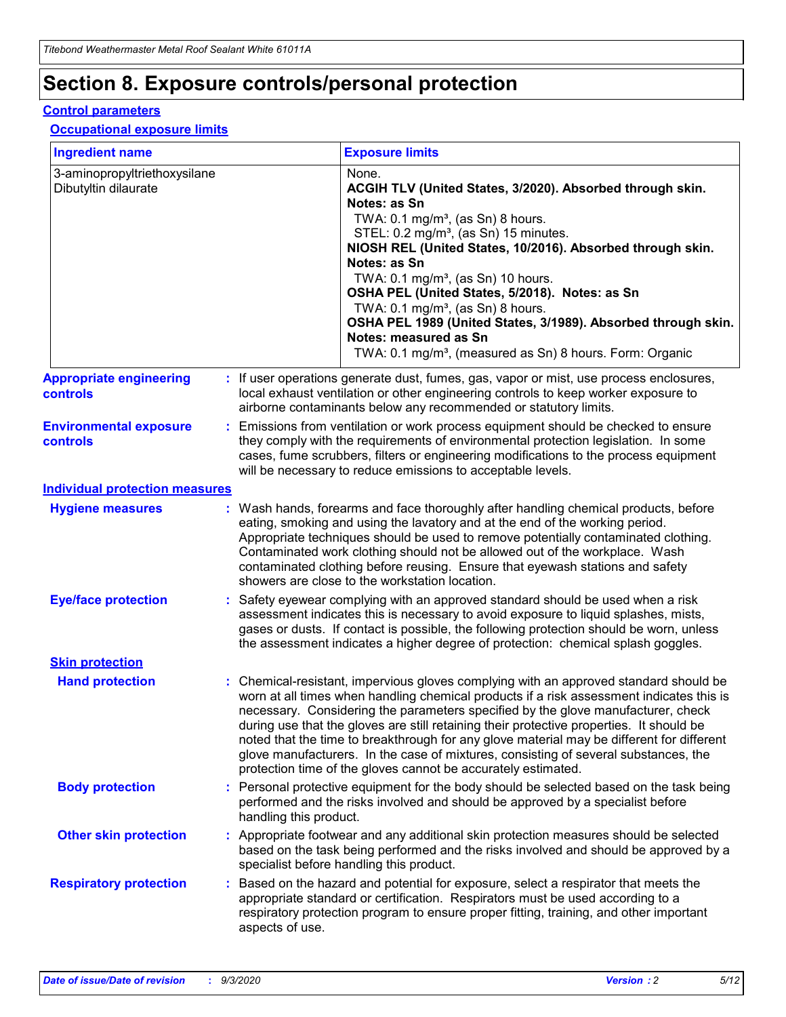# **Section 8. Exposure controls/personal protection**

### **Control parameters**

### **Occupational exposure limits**

| <b>Ingredient name</b>                               |    |                        | <b>Exposure limits</b>                                                                                                                                                                                                                                                                                                                                                                                                                                                                                                                                                                                                 |
|------------------------------------------------------|----|------------------------|------------------------------------------------------------------------------------------------------------------------------------------------------------------------------------------------------------------------------------------------------------------------------------------------------------------------------------------------------------------------------------------------------------------------------------------------------------------------------------------------------------------------------------------------------------------------------------------------------------------------|
| 3-aminopropyltriethoxysilane<br>Dibutyltin dilaurate |    |                        | None.<br>ACGIH TLV (United States, 3/2020). Absorbed through skin.<br>Notes: as Sn<br>TWA: 0.1 mg/m <sup>3</sup> , (as Sn) 8 hours.<br>STEL: 0.2 mg/m <sup>3</sup> , (as Sn) 15 minutes.<br>NIOSH REL (United States, 10/2016). Absorbed through skin.<br>Notes: as Sn<br>TWA: 0.1 mg/m <sup>3</sup> , (as Sn) 10 hours.<br>OSHA PEL (United States, 5/2018). Notes: as Sn<br>TWA: $0.1 \text{ mg/m}^3$ , (as Sn) 8 hours.<br>OSHA PEL 1989 (United States, 3/1989). Absorbed through skin.<br>Notes: measured as Sn<br>TWA: 0.1 mg/m <sup>3</sup> , (measured as Sn) 8 hours. Form: Organic                           |
| <b>Appropriate engineering</b><br>controls           |    |                        | : If user operations generate dust, fumes, gas, vapor or mist, use process enclosures,<br>local exhaust ventilation or other engineering controls to keep worker exposure to<br>airborne contaminants below any recommended or statutory limits.                                                                                                                                                                                                                                                                                                                                                                       |
| <b>Environmental exposure</b><br><b>controls</b>     |    |                        | Emissions from ventilation or work process equipment should be checked to ensure<br>they comply with the requirements of environmental protection legislation. In some<br>cases, fume scrubbers, filters or engineering modifications to the process equipment<br>will be necessary to reduce emissions to acceptable levels.                                                                                                                                                                                                                                                                                          |
| <b>Individual protection measures</b>                |    |                        |                                                                                                                                                                                                                                                                                                                                                                                                                                                                                                                                                                                                                        |
| <b>Hygiene measures</b>                              |    |                        | : Wash hands, forearms and face thoroughly after handling chemical products, before<br>eating, smoking and using the lavatory and at the end of the working period.<br>Appropriate techniques should be used to remove potentially contaminated clothing.<br>Contaminated work clothing should not be allowed out of the workplace. Wash<br>contaminated clothing before reusing. Ensure that eyewash stations and safety<br>showers are close to the workstation location.                                                                                                                                            |
| <b>Eye/face protection</b>                           |    |                        | : Safety eyewear complying with an approved standard should be used when a risk<br>assessment indicates this is necessary to avoid exposure to liquid splashes, mists,<br>gases or dusts. If contact is possible, the following protection should be worn, unless<br>the assessment indicates a higher degree of protection: chemical splash goggles.                                                                                                                                                                                                                                                                  |
| <b>Skin protection</b>                               |    |                        |                                                                                                                                                                                                                                                                                                                                                                                                                                                                                                                                                                                                                        |
| <b>Hand protection</b>                               |    |                        | : Chemical-resistant, impervious gloves complying with an approved standard should be<br>worn at all times when handling chemical products if a risk assessment indicates this is<br>necessary. Considering the parameters specified by the glove manufacturer, check<br>during use that the gloves are still retaining their protective properties. It should be<br>noted that the time to breakthrough for any glove material may be different for different<br>glove manufacturers. In the case of mixtures, consisting of several substances, the<br>protection time of the gloves cannot be accurately estimated. |
| <b>Body protection</b>                               |    | handling this product. | Personal protective equipment for the body should be selected based on the task being<br>performed and the risks involved and should be approved by a specialist before                                                                                                                                                                                                                                                                                                                                                                                                                                                |
| <b>Other skin protection</b>                         |    |                        | : Appropriate footwear and any additional skin protection measures should be selected<br>based on the task being performed and the risks involved and should be approved by a<br>specialist before handling this product.                                                                                                                                                                                                                                                                                                                                                                                              |
| <b>Respiratory protection</b>                        | ÷. | aspects of use.        | Based on the hazard and potential for exposure, select a respirator that meets the<br>appropriate standard or certification. Respirators must be used according to a<br>respiratory protection program to ensure proper fitting, training, and other important                                                                                                                                                                                                                                                                                                                                                         |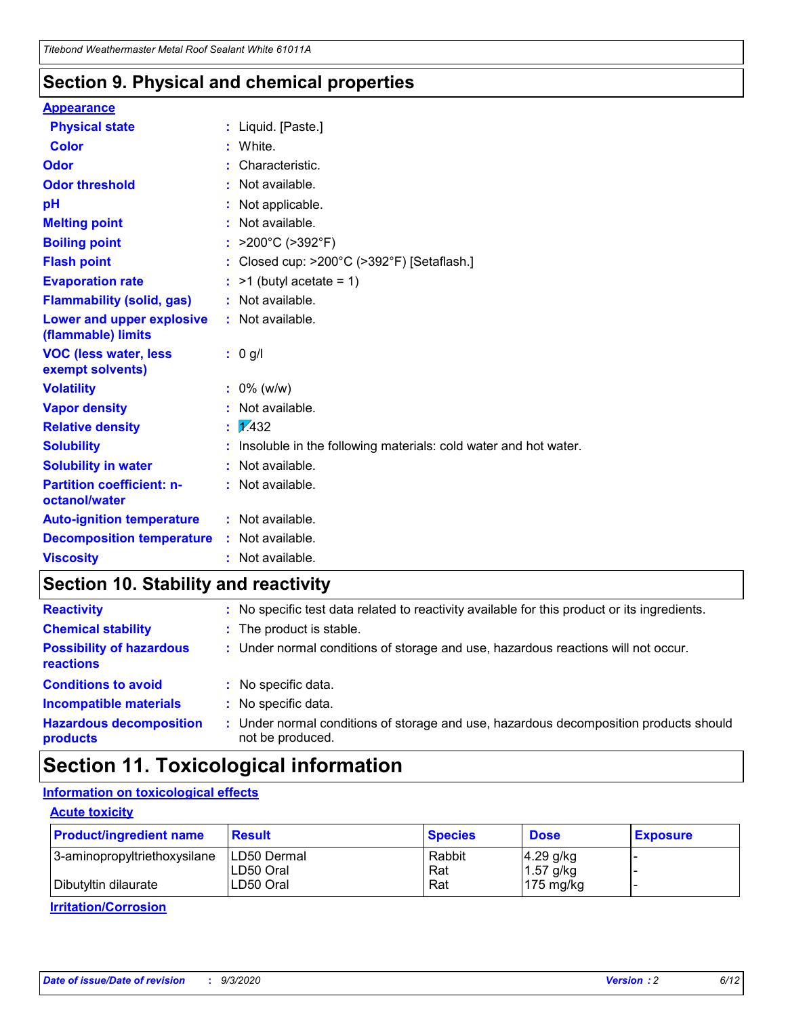## **Section 9. Physical and chemical properties**

### **Appearance**

| <b>Physical state</b>                             | : Liquid. [Paste.]                                              |
|---------------------------------------------------|-----------------------------------------------------------------|
| Color                                             | White.                                                          |
| Odor                                              | Characteristic.                                                 |
| <b>Odor threshold</b>                             | : Not available.                                                |
| pH                                                | Not applicable.                                                 |
| <b>Melting point</b>                              | : Not available.                                                |
| <b>Boiling point</b>                              | : $>200^{\circ}$ C ( $>392^{\circ}$ F)                          |
| <b>Flash point</b>                                | : Closed cup: >200°C (>392°F) [Setaflash.]                      |
| <b>Evaporation rate</b>                           | $:$ >1 (butyl acetate = 1)                                      |
| <b>Flammability (solid, gas)</b>                  | : Not available.                                                |
| Lower and upper explosive<br>(flammable) limits   | : Not available.                                                |
| <b>VOC (less water, less</b><br>exempt solvents)  | : 0 g/l                                                         |
| <b>Volatility</b>                                 | $: 0\%$ (w/w)                                                   |
| <b>Vapor density</b>                              | : Not available.                                                |
| <b>Relative density</b>                           | $\mathbf{1} \times 432$                                         |
| <b>Solubility</b>                                 | Insoluble in the following materials: cold water and hot water. |
| <b>Solubility in water</b>                        | $:$ Not available.                                              |
| <b>Partition coefficient: n-</b><br>octanol/water | : Not available.                                                |
| <b>Auto-ignition temperature</b>                  | : Not available.                                                |
| <b>Decomposition temperature</b>                  | $:$ Not available.                                              |
|                                                   |                                                                 |

# **Section 10. Stability and reactivity**

| <b>Reactivity</b>                            | : No specific test data related to reactivity available for this product or its ingredients.            |
|----------------------------------------------|---------------------------------------------------------------------------------------------------------|
| <b>Chemical stability</b>                    | : The product is stable.                                                                                |
| <b>Possibility of hazardous</b><br>reactions | : Under normal conditions of storage and use, hazardous reactions will not occur.                       |
| <b>Conditions to avoid</b>                   | : No specific data.                                                                                     |
| <b>Incompatible materials</b>                | : No specific data.                                                                                     |
| <b>Hazardous decomposition</b><br>products   | Under normal conditions of storage and use, hazardous decomposition products should<br>not be produced. |

# **Section 11. Toxicological information**

### **Information on toxicological effects**

### **Acute toxicity**

| <b>Product/ingredient name</b> | <b>Result</b>           | <b>Species</b> | <b>Dose</b>                | <b>Exposure</b> |
|--------------------------------|-------------------------|----------------|----------------------------|-----------------|
| 3-aminopropyltriethoxysilane   | <b>ILD50 Dermal</b>     | Rabbit         | 4.29 g/kg                  |                 |
| Dibutyltin dilaurate           | ILD50 Oral<br>LD50 Oral | Rat<br>Rat     | $1.57$ g/kg<br>175 $mg/kg$ |                 |
|                                |                         |                |                            |                 |

**Irritation/Corrosion**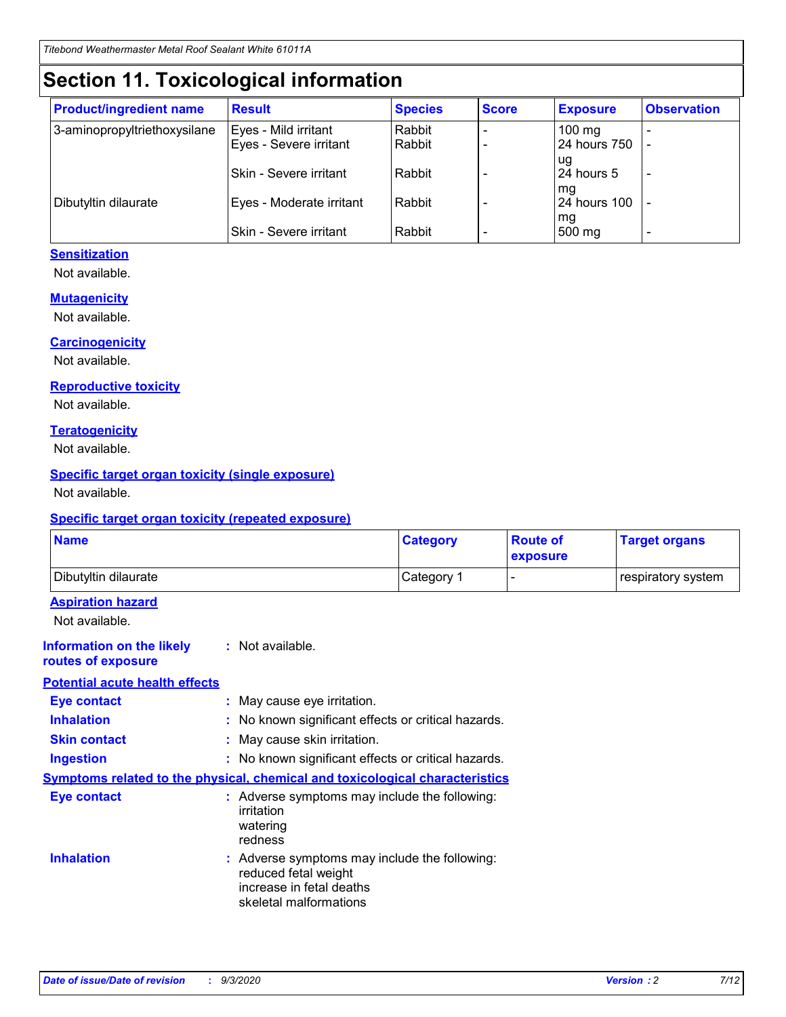# **Section 11. Toxicological information**

| <b>Product/ingredient name</b> | <b>Result</b>            | <b>Species</b> | <b>Score</b> | <b>Exposure</b>           | <b>Observation</b> |
|--------------------------------|--------------------------|----------------|--------------|---------------------------|--------------------|
| 3-aminopropyltriethoxysilane   | Eyes - Mild irritant     | Rabbit         |              | $100$ mg                  |                    |
|                                | Eyes - Severe irritant   | Rabbit         |              | 24 hours 750              |                    |
|                                |                          |                |              | ug                        |                    |
|                                | Skin - Severe irritant   | Rabbit         |              | 24 hours 5                | -                  |
| Dibutyltin dilaurate           | Eyes - Moderate irritant | Rabbit         |              | mg<br><b>24 hours 100</b> |                    |
|                                |                          |                |              | mg                        |                    |
|                                | Skin - Severe irritant   | Rabbit         |              | 500 mg                    | -                  |

### **Sensitization**

Not available.

### **Mutagenicity**

Not available.

### **Carcinogenicity**

Not available.

### **Reproductive toxicity**

Not available.

### **Teratogenicity**

Not available.

### **Specific target organ toxicity (single exposure)**

Not available.

### **Specific target organ toxicity (repeated exposure)**

| <b>Name</b>                                                                  |                                                                                                                             | <b>Category</b>                                     | <b>Route of</b><br>exposure | <b>Target organs</b> |  |  |
|------------------------------------------------------------------------------|-----------------------------------------------------------------------------------------------------------------------------|-----------------------------------------------------|-----------------------------|----------------------|--|--|
| Dibutyltin dilaurate                                                         |                                                                                                                             | Category 1                                          |                             | respiratory system   |  |  |
| <b>Aspiration hazard</b><br>Not available.                                   |                                                                                                                             |                                                     |                             |                      |  |  |
| <b>Information on the likely</b><br>routes of exposure                       | : Not available.                                                                                                            |                                                     |                             |                      |  |  |
| <b>Potential acute health effects</b>                                        |                                                                                                                             |                                                     |                             |                      |  |  |
| <b>Eye contact</b>                                                           | : May cause eye irritation.                                                                                                 |                                                     |                             |                      |  |  |
| <b>Inhalation</b>                                                            |                                                                                                                             | : No known significant effects or critical hazards. |                             |                      |  |  |
| <b>Skin contact</b>                                                          |                                                                                                                             | : May cause skin irritation.                        |                             |                      |  |  |
| <b>Ingestion</b>                                                             |                                                                                                                             | : No known significant effects or critical hazards. |                             |                      |  |  |
| Symptoms related to the physical, chemical and toxicological characteristics |                                                                                                                             |                                                     |                             |                      |  |  |
| <b>Eye contact</b>                                                           | : Adverse symptoms may include the following:<br>irritation<br>watering<br>redness                                          |                                                     |                             |                      |  |  |
| <b>Inhalation</b>                                                            | : Adverse symptoms may include the following:<br>reduced fetal weight<br>increase in fetal deaths<br>skeletal malformations |                                                     |                             |                      |  |  |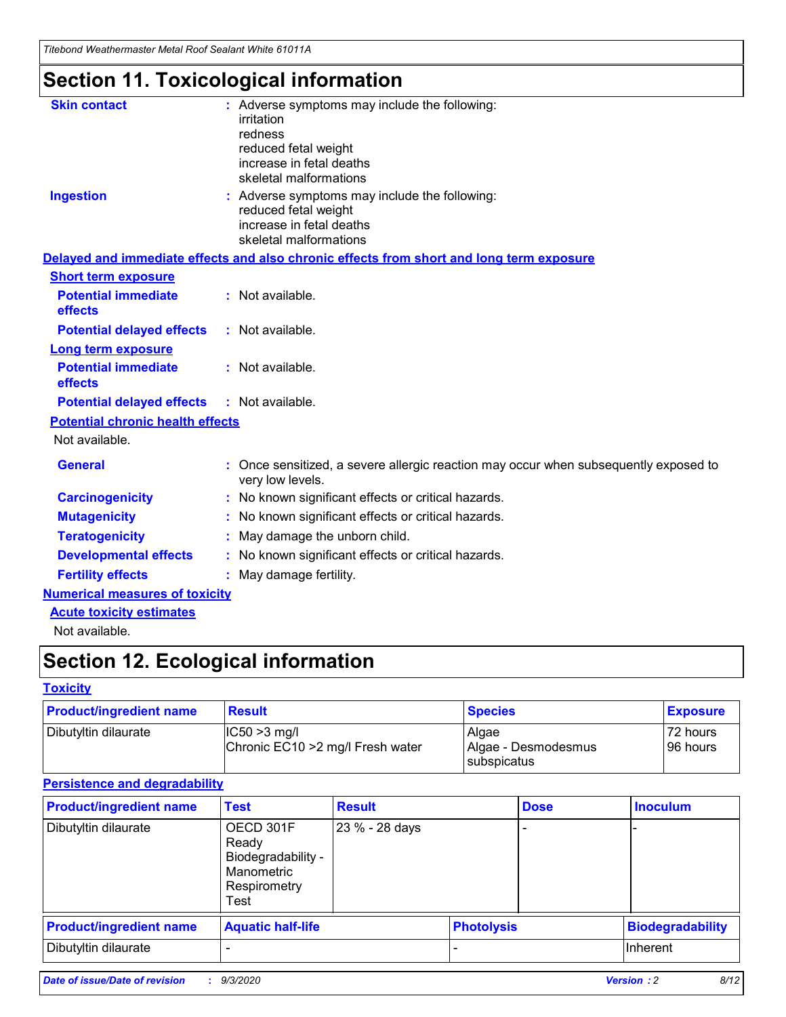*Titebond Weathermaster Metal Roof Sealant White 61011A*

# **Section 11. Toxicological information**

| <b>Skin contact</b>                     | irritation<br>redness<br>reduced fetal weight<br>increase in fetal deaths<br>skeletal malformations | : Adverse symptoms may include the following:                                            |
|-----------------------------------------|-----------------------------------------------------------------------------------------------------|------------------------------------------------------------------------------------------|
| <b>Ingestion</b>                        | reduced fetal weight<br>increase in fetal deaths<br>skeletal malformations                          | : Adverse symptoms may include the following:                                            |
|                                         |                                                                                                     | Delayed and immediate effects and also chronic effects from short and long term exposure |
| <b>Short term exposure</b>              |                                                                                                     |                                                                                          |
| <b>Potential immediate</b><br>effects   | : Not available.                                                                                    |                                                                                          |
| <b>Potential delayed effects</b>        | : Not available.                                                                                    |                                                                                          |
| <b>Long term exposure</b>               |                                                                                                     |                                                                                          |
| <b>Potential immediate</b><br>effects   | : Not available.                                                                                    |                                                                                          |
| <b>Potential delayed effects</b>        | : Not available.                                                                                    |                                                                                          |
| <b>Potential chronic health effects</b> |                                                                                                     |                                                                                          |
| Not available.                          |                                                                                                     |                                                                                          |
| <b>General</b>                          | very low levels.                                                                                    | : Once sensitized, a severe allergic reaction may occur when subsequently exposed to     |
| <b>Carcinogenicity</b>                  |                                                                                                     | : No known significant effects or critical hazards.                                      |
| <b>Mutagenicity</b>                     |                                                                                                     | No known significant effects or critical hazards.                                        |
| <b>Teratogenicity</b>                   |                                                                                                     | May damage the unborn child.                                                             |
| <b>Developmental effects</b>            |                                                                                                     | : No known significant effects or critical hazards.                                      |
| <b>Fertility effects</b>                | May damage fertility.                                                                               |                                                                                          |
| <b>Numerical measures of toxicity</b>   |                                                                                                     |                                                                                          |
| <b>Acute toxicity estimates</b>         |                                                                                                     |                                                                                          |
| Not available.                          |                                                                                                     |                                                                                          |

# **Section 12. Ecological information**

### **Toxicity**

| <b>Product/ingredient name</b> | <b>Result</b>                                       | <b>Species</b>               | <b>Exposure</b>       |
|--------------------------------|-----------------------------------------------------|------------------------------|-----------------------|
| Dibutyltin dilaurate           | $ IC50>3$ mg/l<br>Chronic EC10 > 2 mg/l Fresh water | Algae<br>Algae - Desmodesmus | 72 hours<br>196 hours |
|                                |                                                     | subspicatus                  |                       |

### **Persistence and degradability**

| <b>Product/ingredient name</b> | <b>Test</b>                                                                    | <b>Result</b>  |                   | <b>Dose</b> | <b>Inoculum</b>         |
|--------------------------------|--------------------------------------------------------------------------------|----------------|-------------------|-------------|-------------------------|
| Dibutyltin dilaurate           | OECD 301F<br>Ready<br>Biodegradability -<br>Manometric<br>Respirometry<br>Test | 23 % - 28 days |                   |             |                         |
| <b>Product/ingredient name</b> | <b>Aquatic half-life</b>                                                       |                | <b>Photolysis</b> |             | <b>Biodegradability</b> |
| Dibutyltin dilaurate           |                                                                                |                |                   |             | <b>Inherent</b>         |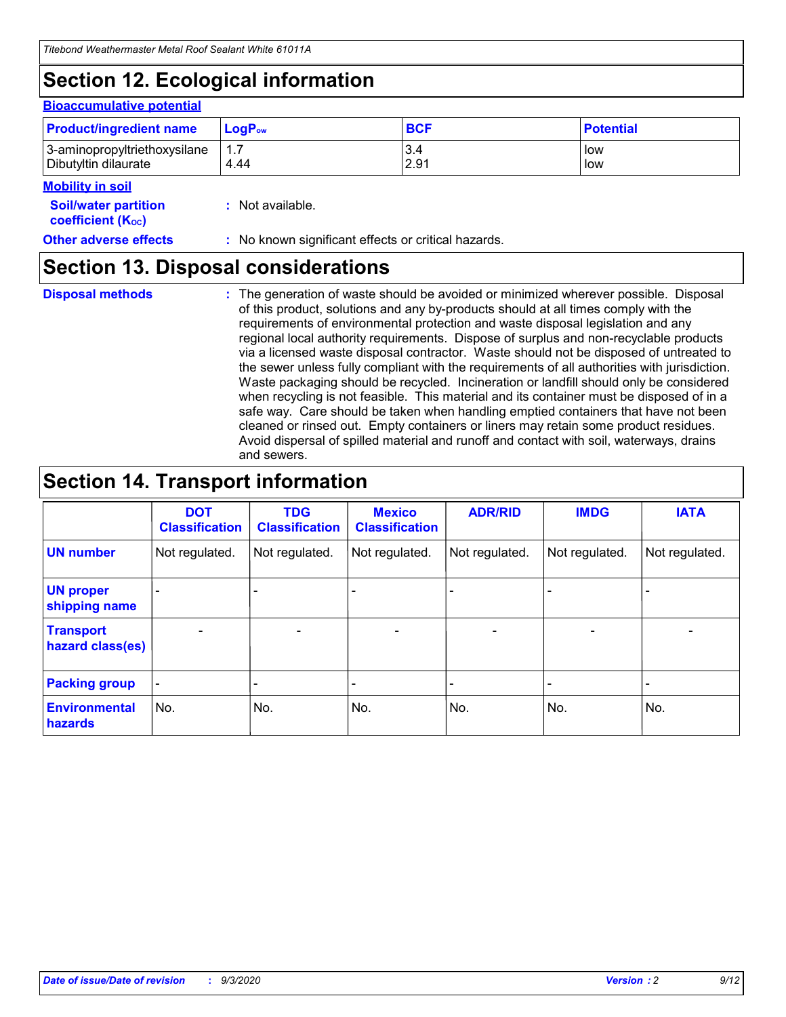# **Section 12. Ecological information**

### **Bioaccumulative potential**

| <b>Product/ingredient name</b> | $LoaPow$ | <b>BCF</b> | <b>Potential</b> |
|--------------------------------|----------|------------|------------------|
| 3-aminopropyltriethoxysilane   | 1.7      | 3.4        | low              |
| Dibutyltin dilaurate           | 4.44     | 2.91       | low              |

#### **Mobility in soil**

| <b>Soil/water partition</b>    | : Not available. |
|--------------------------------|------------------|
| coefficient (K <sub>oc</sub> ) |                  |

**Other adverse effects** : No known significant effects or critical hazards.

## **Section 13. Disposal considerations**

**Disposal methods :**

The generation of waste should be avoided or minimized wherever possible. Disposal of this product, solutions and any by-products should at all times comply with the requirements of environmental protection and waste disposal legislation and any regional local authority requirements. Dispose of surplus and non-recyclable products via a licensed waste disposal contractor. Waste should not be disposed of untreated to the sewer unless fully compliant with the requirements of all authorities with jurisdiction. Waste packaging should be recycled. Incineration or landfill should only be considered when recycling is not feasible. This material and its container must be disposed of in a safe way. Care should be taken when handling emptied containers that have not been cleaned or rinsed out. Empty containers or liners may retain some product residues. Avoid dispersal of spilled material and runoff and contact with soil, waterways, drains and sewers.

# **Section 14. Transport information**

|                                      | <b>DOT</b><br><b>Classification</b> | <b>TDG</b><br><b>Classification</b> | <b>Mexico</b><br><b>Classification</b> | <b>ADR/RID</b>           | <b>IMDG</b>              | <b>IATA</b>    |
|--------------------------------------|-------------------------------------|-------------------------------------|----------------------------------------|--------------------------|--------------------------|----------------|
| <b>UN number</b>                     | Not regulated.                      | Not regulated.                      | Not regulated.                         | Not regulated.           | Not regulated.           | Not regulated. |
| <b>UN proper</b><br>shipping name    |                                     |                                     |                                        |                          |                          |                |
| <b>Transport</b><br>hazard class(es) |                                     | $\overline{\phantom{0}}$            | $\qquad \qquad \blacksquare$           | $\overline{\phantom{0}}$ | $\overline{\phantom{0}}$ |                |
| <b>Packing group</b>                 |                                     |                                     |                                        |                          |                          |                |
| <b>Environmental</b><br>hazards      | No.                                 | No.                                 | No.                                    | No.                      | No.                      | No.            |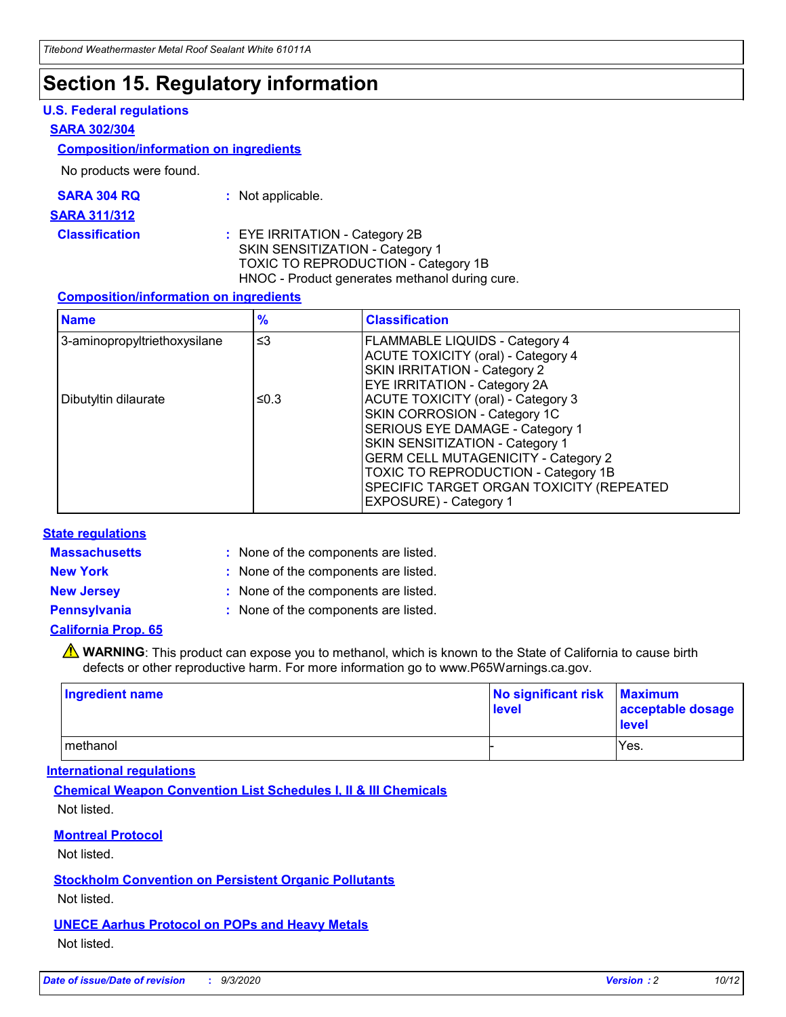# **Section 15. Regulatory information**

### **U.S. Federal regulations**

### **SARA 302/304**

### **Composition/information on ingredients**

No products were found.

| SARA 304 RQ | Not applicable. |
|-------------|-----------------|
|             |                 |

#### **SARA 311/312**

**Classification :** EYE IRRITATION - Category 2B SKIN SENSITIZATION - Category 1 TOXIC TO REPRODUCTION - Category 1B HNOC - Product generates methanol during cure.

### **Composition/information on ingredients**

| <b>Name</b>                  | $\frac{9}{6}$ | <b>Classification</b>                                                                                                                                                                                                                                                                                      |
|------------------------------|---------------|------------------------------------------------------------------------------------------------------------------------------------------------------------------------------------------------------------------------------------------------------------------------------------------------------------|
| 3-aminopropyltriethoxysilane | $\leq$ 3      | <b>FLAMMABLE LIQUIDS - Category 4</b><br><b>ACUTE TOXICITY (oral) - Category 4</b><br><b>SKIN IRRITATION - Category 2</b><br>EYE IRRITATION - Category 2A                                                                                                                                                  |
| Dibutyltin dilaurate         | ≤0.3          | <b>ACUTE TOXICITY (oral) - Category 3</b><br>SKIN CORROSION - Category 1C<br>SERIOUS EYE DAMAGE - Category 1<br>SKIN SENSITIZATION - Category 1<br><b>GERM CELL MUTAGENICITY - Category 2</b><br>TOXIC TO REPRODUCTION - Category 1B<br>SPECIFIC TARGET ORGAN TOXICITY (REPEATED<br>EXPOSURE) - Category 1 |

### **State regulations**

**Massachusetts :**

: None of the components are listed.

**New York :** None of the components are listed. **New Jersey :** None of the components are listed.

**Pennsylvania :** None of the components are listed.

### **California Prop. 65**

WARNING: This product can expose you to methanol, which is known to the State of California to cause birth defects or other reproductive harm. For more information go to www.P65Warnings.ca.gov.

| Ingredient name | No significant risk Maximum<br>level | acceptable dosage<br><b>level</b> |
|-----------------|--------------------------------------|-----------------------------------|
| I methanol      |                                      | Yes.                              |

### **International regulations**

**Chemical Weapon Convention List Schedules I, II & III Chemicals** Not listed.

**Montreal Protocol**

Not listed.

**Stockholm Convention on Persistent Organic Pollutants**

Not listed.

**UNECE Aarhus Protocol on POPs and Heavy Metals** Not listed.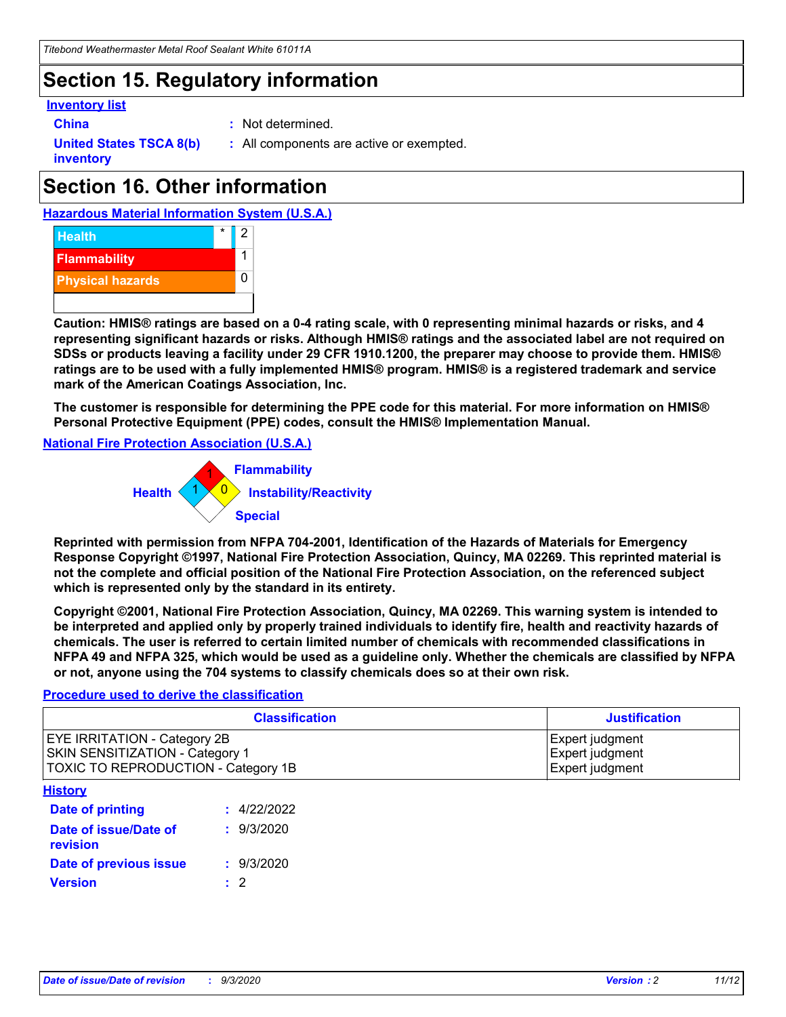# **Section 15. Regulatory information**

### **Inventory list**

- 
- **China :** Not determined.

**United States TSCA 8(b) inventory**

**:** All components are active or exempted.

# **Section 16. Other information**





**Caution: HMIS® ratings are based on a 0-4 rating scale, with 0 representing minimal hazards or risks, and 4 representing significant hazards or risks. Although HMIS® ratings and the associated label are not required on SDSs or products leaving a facility under 29 CFR 1910.1200, the preparer may choose to provide them. HMIS® ratings are to be used with a fully implemented HMIS® program. HMIS® is a registered trademark and service mark of the American Coatings Association, Inc.**

**The customer is responsible for determining the PPE code for this material. For more information on HMIS® Personal Protective Equipment (PPE) codes, consult the HMIS® Implementation Manual.**

**National Fire Protection Association (U.S.A.)**



**Reprinted with permission from NFPA 704-2001, Identification of the Hazards of Materials for Emergency Response Copyright ©1997, National Fire Protection Association, Quincy, MA 02269. This reprinted material is not the complete and official position of the National Fire Protection Association, on the referenced subject which is represented only by the standard in its entirety.**

**Copyright ©2001, National Fire Protection Association, Quincy, MA 02269. This warning system is intended to be interpreted and applied only by properly trained individuals to identify fire, health and reactivity hazards of chemicals. The user is referred to certain limited number of chemicals with recommended classifications in NFPA 49 and NFPA 325, which would be used as a guideline only. Whether the chemicals are classified by NFPA or not, anyone using the 704 systems to classify chemicals does so at their own risk.**

### **Procedure used to derive the classification**

| <b>Classification</b>                                                                                         | <b>Justification</b>                                  |
|---------------------------------------------------------------------------------------------------------------|-------------------------------------------------------|
| <b>EYE IRRITATION - Category 2B</b><br>SKIN SENSITIZATION - Category 1<br>TOXIC TO REPRODUCTION - Category 1B | Expert judgment<br>Expert judgment<br>Expert judgment |
| <b>History</b>                                                                                                |                                                       |

| .                                 |             |
|-----------------------------------|-------------|
| <b>Date of printing</b>           | : 4/22/2022 |
| Date of issue/Date of<br>revision | : 9/3/2020  |
| Date of previous issue            | : 9/3/2020  |
| <b>Version</b>                    | $\cdot$ 2   |
|                                   |             |